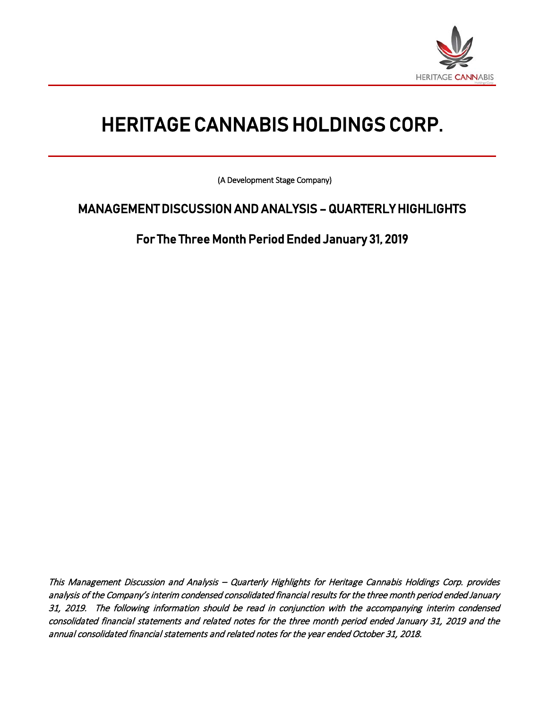

 $\frac{1}{2}$ 

# HERITAGE CANNABIS HOLDINGS CORP.

(A Development Stage Company)

## MANAGEMENT DISCUSSION AND ANALYSIS – QUARTERLY HIGHLIGHTS

For The Three Month Period Ended January 31, 2019

This Management Discussion and Analysis – Quarterly Highlights for Heritage Cannabis Holdings Corp. provides analysis of the Company's interim condensed consolidated financial results for the three month period ended January 31, 2019. The following information should be read in conjunction with the accompanying interim condensed consolidated financial statements and related notes for the three month period ended January 31, 2019 and the annual consolidated financial statements and related notes for the year ended October 31, 2018.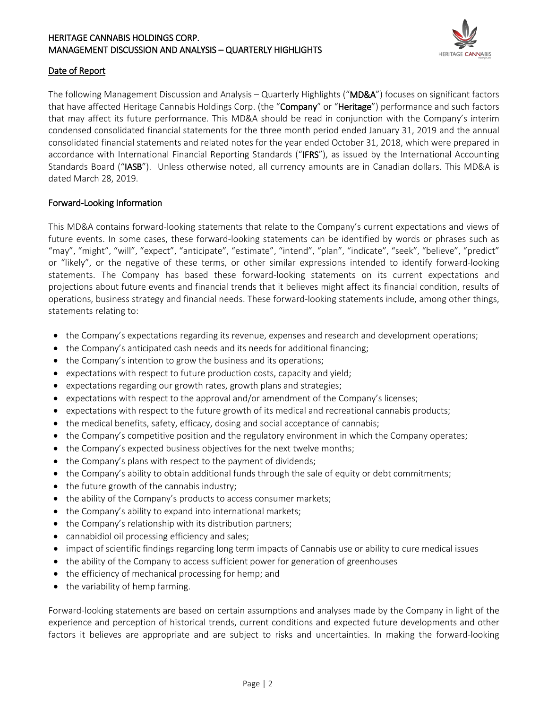

#### Date of Report

The following Management Discussion and Analysis – Quarterly Highlights ("MD&A") focuses on significant factors that have affected Heritage Cannabis Holdings Corp. (the "Company" or "Heritage") performance and such factors that may affect its future performance. This MD&A should be read in conjunction with the Company's interim condensed consolidated financial statements for the three month period ended January 31, 2019 and the annual consolidated financial statements and related notes for the year ended October 31, 2018, which were prepared in accordance with International Financial Reporting Standards ("IFRS"), as issued by the International Accounting Standards Board ("IASB"). Unless otherwise noted, all currency amounts are in Canadian dollars. This MD&A is dated March 28, 2019.

#### Forward-Looking Information

This MD&A contains forward-looking statements that relate to the Company's current expectations and views of future events. In some cases, these forward-looking statements can be identified by words or phrases such as "may", "might", "will", "expect", "anticipate", "estimate", "intend", "plan", "indicate", "seek", "believe", "predict" or "likely", or the negative of these terms, or other similar expressions intended to identify forward-looking statements. The Company has based these forward-looking statements on its current expectations and projections about future events and financial trends that it believes might affect its financial condition, results of operations, business strategy and financial needs. These forward-looking statements include, among other things, statements relating to:

- the Company's expectations regarding its revenue, expenses and research and development operations;
- the Company's anticipated cash needs and its needs for additional financing;
- the Company's intention to grow the business and its operations;
- expectations with respect to future production costs, capacity and yield;
- expectations regarding our growth rates, growth plans and strategies;
- expectations with respect to the approval and/or amendment of the Company's licenses;
- expectations with respect to the future growth of its medical and recreational cannabis products;
- the medical benefits, safety, efficacy, dosing and social acceptance of cannabis;
- the Company's competitive position and the regulatory environment in which the Company operates;
- the Company's expected business objectives for the next twelve months;
- the Company's plans with respect to the payment of dividends;
- the Company's ability to obtain additional funds through the sale of equity or debt commitments;
- the future growth of the cannabis industry;
- the ability of the Company's products to access consumer markets;
- the Company's ability to expand into international markets;
- the Company's relationship with its distribution partners;
- cannabidiol oil processing efficiency and sales;
- impact of scientific findings regarding long term impacts of Cannabis use or ability to cure medical issues
- the ability of the Company to access sufficient power for generation of greenhouses
- the efficiency of mechanical processing for hemp; and
- the variability of hemp farming.

Forward-looking statements are based on certain assumptions and analyses made by the Company in light of the experience and perception of historical trends, current conditions and expected future developments and other factors it believes are appropriate and are subject to risks and uncertainties. In making the forward-looking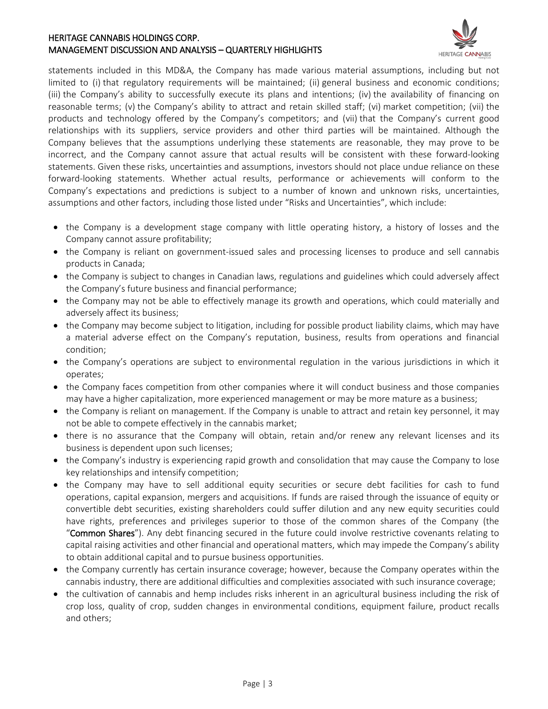

statements included in this MD&A, the Company has made various material assumptions, including but not limited to (i) that regulatory requirements will be maintained; (ii) general business and economic conditions; (iii) the Company's ability to successfully execute its plans and intentions; (iv) the availability of financing on reasonable terms; (v) the Company's ability to attract and retain skilled staff; (vi) market competition; (vii) the products and technology offered by the Company's competitors; and (vii) that the Company's current good relationships with its suppliers, service providers and other third parties will be maintained. Although the Company believes that the assumptions underlying these statements are reasonable, they may prove to be incorrect, and the Company cannot assure that actual results will be consistent with these forward-looking statements. Given these risks, uncertainties and assumptions, investors should not place undue reliance on these forward-looking statements. Whether actual results, performance or achievements will conform to the Company's expectations and predictions is subject to a number of known and unknown risks, uncertainties, assumptions and other factors, including those listed under "Risks and Uncertainties", which include:

- the Company is a development stage company with little operating history, a history of losses and the Company cannot assure profitability;
- the Company is reliant on government-issued sales and processing licenses to produce and sell cannabis products in Canada;
- the Company is subject to changes in Canadian laws, regulations and guidelines which could adversely affect the Company's future business and financial performance;
- the Company may not be able to effectively manage its growth and operations, which could materially and adversely affect its business;
- the Company may become subject to litigation, including for possible product liability claims, which may have a material adverse effect on the Company's reputation, business, results from operations and financial condition;
- the Company's operations are subject to environmental regulation in the various jurisdictions in which it operates;
- the Company faces competition from other companies where it will conduct business and those companies may have a higher capitalization, more experienced management or may be more mature as a business;
- the Company is reliant on management. If the Company is unable to attract and retain key personnel, it may not be able to compete effectively in the cannabis market;
- there is no assurance that the Company will obtain, retain and/or renew any relevant licenses and its business is dependent upon such licenses;
- the Company's industry is experiencing rapid growth and consolidation that may cause the Company to lose key relationships and intensify competition;
- the Company may have to sell additional equity securities or secure debt facilities for cash to fund operations, capital expansion, mergers and acquisitions. If funds are raised through the issuance of equity or convertible debt securities, existing shareholders could suffer dilution and any new equity securities could have rights, preferences and privileges superior to those of the common shares of the Company (the "Common Shares"). Any debt financing secured in the future could involve restrictive covenants relating to capital raising activities and other financial and operational matters, which may impede the Company's ability to obtain additional capital and to pursue business opportunities.
- the Company currently has certain insurance coverage; however, because the Company operates within the cannabis industry, there are additional difficulties and complexities associated with such insurance coverage;
- the cultivation of cannabis and hemp includes risks inherent in an agricultural business including the risk of crop loss, quality of crop, sudden changes in environmental conditions, equipment failure, product recalls and others;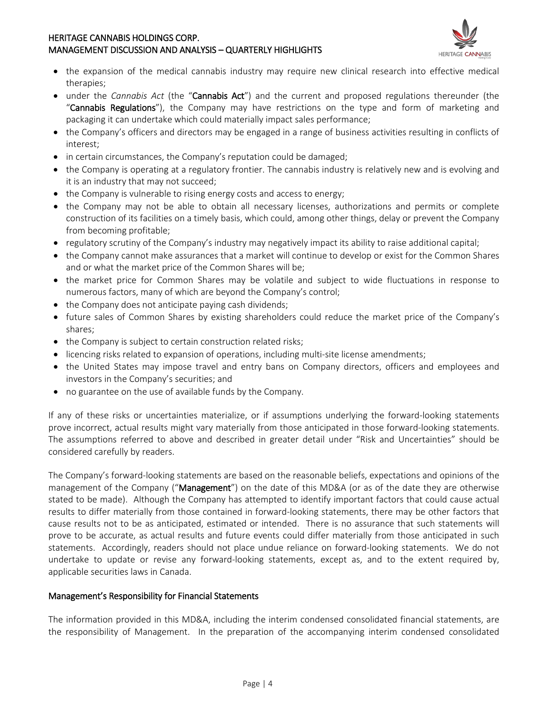

- the expansion of the medical cannabis industry may require new clinical research into effective medical therapies;
- under the *Cannabis Act* (the "Cannabis Act") and the current and proposed regulations thereunder (the "Cannabis Regulations"), the Company may have restrictions on the type and form of marketing and packaging it can undertake which could materially impact sales performance;
- the Company's officers and directors may be engaged in a range of business activities resulting in conflicts of interest;
- in certain circumstances, the Company's reputation could be damaged;
- the Company is operating at a regulatory frontier. The cannabis industry is relatively new and is evolving and it is an industry that may not succeed;
- the Company is vulnerable to rising energy costs and access to energy;
- the Company may not be able to obtain all necessary licenses, authorizations and permits or complete construction of its facilities on a timely basis, which could, among other things, delay or prevent the Company from becoming profitable;
- regulatory scrutiny of the Company's industry may negatively impact its ability to raise additional capital;
- the Company cannot make assurances that a market will continue to develop or exist for the Common Shares and or what the market price of the Common Shares will be;
- the market price for Common Shares may be volatile and subject to wide fluctuations in response to numerous factors, many of which are beyond the Company's control;
- the Company does not anticipate paying cash dividends;
- future sales of Common Shares by existing shareholders could reduce the market price of the Company's shares;
- the Company is subject to certain construction related risks;
- licencing risks related to expansion of operations, including multi-site license amendments;
- the United States may impose travel and entry bans on Company directors, officers and employees and investors in the Company's securities; and
- no guarantee on the use of available funds by the Company.

If any of these risks or uncertainties materialize, or if assumptions underlying the forward-looking statements prove incorrect, actual results might vary materially from those anticipated in those forward-looking statements. The assumptions referred to above and described in greater detail under "Risk and Uncertainties" should be considered carefully by readers.

The Company's forward-looking statements are based on the reasonable beliefs, expectations and opinions of the management of the Company ("Management") on the date of this MD&A (or as of the date they are otherwise stated to be made). Although the Company has attempted to identify important factors that could cause actual results to differ materially from those contained in forward-looking statements, there may be other factors that cause results not to be as anticipated, estimated or intended. There is no assurance that such statements will prove to be accurate, as actual results and future events could differ materially from those anticipated in such statements. Accordingly, readers should not place undue reliance on forward-looking statements. We do not undertake to update or revise any forward-looking statements, except as, and to the extent required by, applicable securities laws in Canada.

#### Management's Responsibility for Financial Statements

The information provided in this MD&A, including the interim condensed consolidated financial statements, are the responsibility of Management. In the preparation of the accompanying interim condensed consolidated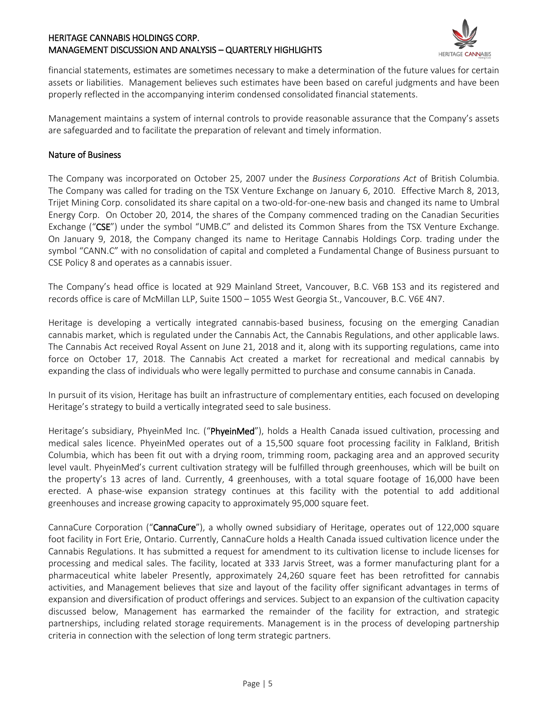

financial statements, estimates are sometimes necessary to make a determination of the future values for certain assets or liabilities. Management believes such estimates have been based on careful judgments and have been properly reflected in the accompanying interim condensed consolidated financial statements.

Management maintains a system of internal controls to provide reasonable assurance that the Company's assets are safeguarded and to facilitate the preparation of relevant and timely information.

#### Nature of Business

The Company was incorporated on October 25, 2007 under the *Business Corporations Act* of British Columbia. The Company was called for trading on the TSX Venture Exchange on January 6, 2010. Effective March 8, 2013, Trijet Mining Corp. consolidated its share capital on a two-old-for-one-new basis and changed its name to Umbral Energy Corp. On October 20, 2014, the shares of the Company commenced trading on the Canadian Securities Exchange ("CSE") under the symbol "UMB.C" and delisted its Common Shares from the TSX Venture Exchange. On January 9, 2018, the Company changed its name to Heritage Cannabis Holdings Corp. trading under the symbol "CANN.C" with no consolidation of capital and completed a Fundamental Change of Business pursuant to CSE Policy 8 and operates as a cannabis issuer.

The Company's head office is located at 929 Mainland Street, Vancouver, B.C. V6B 1S3 and its registered and records office is care of McMillan LLP, Suite 1500 – 1055 West Georgia St., Vancouver, B.C. V6E 4N7.

Heritage is developing a vertically integrated cannabis-based business, focusing on the emerging Canadian cannabis market, which is regulated under the Cannabis Act, the Cannabis Regulations, and other applicable laws. The Cannabis Act received Royal Assent on June 21, 2018 and it, along with its supporting regulations, came into force on October 17, 2018. The Cannabis Act created a market for recreational and medical cannabis by expanding the class of individuals who were legally permitted to purchase and consume cannabis in Canada.

In pursuit of its vision, Heritage has built an infrastructure of complementary entities, each focused on developing Heritage's strategy to build a vertically integrated seed to sale business.

Heritage's subsidiary, PhyeinMed Inc. ("PhyeinMed"), holds a Health Canada issued cultivation, processing and medical sales licence. PhyeinMed operates out of a 15,500 square foot processing facility in Falkland, British Columbia, which has been fit out with a drying room, trimming room, packaging area and an approved security level vault. PhyeinMed's current cultivation strategy will be fulfilled through greenhouses, which will be built on the property's 13 acres of land. Currently, 4 greenhouses, with a total square footage of 16,000 have been erected. A phase-wise expansion strategy continues at this facility with the potential to add additional greenhouses and increase growing capacity to approximately 95,000 square feet.

CannaCure Corporation ("CannaCure"), a wholly owned subsidiary of Heritage, operates out of 122,000 square foot facility in Fort Erie, Ontario. Currently, CannaCure holds a Health Canada issued cultivation licence under the Cannabis Regulations. It has submitted a request for amendment to its cultivation license to include licenses for processing and medical sales. The facility, located at 333 Jarvis Street, was a former manufacturing plant for a pharmaceutical white labeler Presently, approximately 24,260 square feet has been retrofitted for cannabis activities, and Management believes that size and layout of the facility offer significant advantages in terms of expansion and diversification of product offerings and services. Subject to an expansion of the cultivation capacity discussed below, Management has earmarked the remainder of the facility for extraction, and strategic partnerships, including related storage requirements. Management is in the process of developing partnership criteria in connection with the selection of long term strategic partners.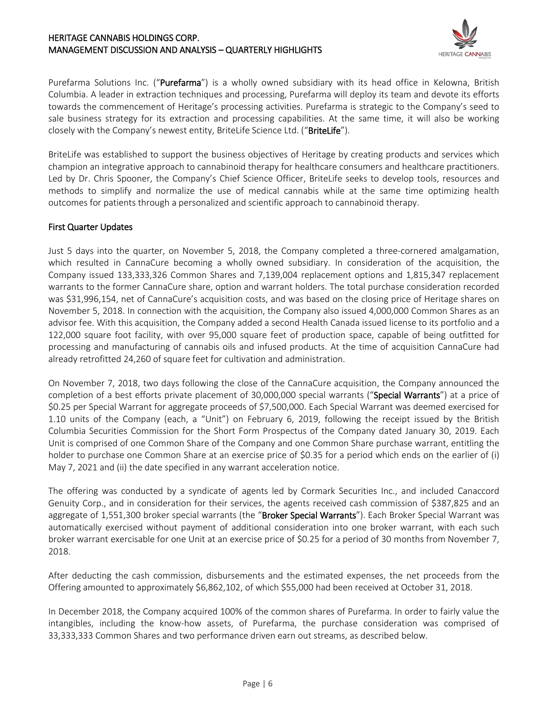

Purefarma Solutions Inc. ("Purefarma") is a wholly owned subsidiary with its head office in Kelowna, British Columbia. A leader in extraction techniques and processing, Purefarma will deploy its team and devote its efforts towards the commencement of Heritage's processing activities. Purefarma is strategic to the Company's seed to sale business strategy for its extraction and processing capabilities. At the same time, it will also be working closely with the Company's newest entity, BriteLife Science Ltd. ("BriteLife").

BriteLife was established to support the business objectives of Heritage by creating products and services which champion an integrative approach to cannabinoid therapy for healthcare consumers and healthcare practitioners. Led by Dr. Chris Spooner, the Company's Chief Science Officer, BriteLife seeks to develop tools, resources and methods to simplify and normalize the use of medical cannabis while at the same time optimizing health outcomes for patients through a personalized and scientific approach to cannabinoid therapy.

#### First Quarter Updates

Just 5 days into the quarter, on November 5, 2018, the Company completed a three-cornered amalgamation, which resulted in CannaCure becoming a wholly owned subsidiary. In consideration of the acquisition, the Company issued 133,333,326 Common Shares and 7,139,004 replacement options and 1,815,347 replacement warrants to the former CannaCure share, option and warrant holders. The total purchase consideration recorded was \$31,996,154, net of CannaCure's acquisition costs, and was based on the closing price of Heritage shares on November 5, 2018. In connection with the acquisition, the Company also issued 4,000,000 Common Shares as an advisor fee. With this acquisition, the Company added a second Health Canada issued license to its portfolio and a 122,000 square foot facility, with over 95,000 square feet of production space, capable of being outfitted for processing and manufacturing of cannabis oils and infused products. At the time of acquisition CannaCure had already retrofitted 24,260 of square feet for cultivation and administration.

On November 7, 2018, two days following the close of the CannaCure acquisition, the Company announced the completion of a best efforts private placement of 30,000,000 special warrants ("Special Warrants") at a price of \$0.25 per Special Warrant for aggregate proceeds of \$7,500,000. Each Special Warrant was deemed exercised for 1.10 units of the Company (each, a "Unit") on February 6, 2019, following the receipt issued by the British Columbia Securities Commission for the Short Form Prospectus of the Company dated January 30, 2019. Each Unit is comprised of one Common Share of the Company and one Common Share purchase warrant, entitling the holder to purchase one Common Share at an exercise price of \$0.35 for a period which ends on the earlier of (i) May 7, 2021 and (ii) the date specified in any warrant acceleration notice.

The offering was conducted by a syndicate of agents led by Cormark Securities Inc., and included Canaccord Genuity Corp., and in consideration for their services, the agents received cash commission of \$387,825 and an aggregate of 1,551,300 broker special warrants (the "Broker Special Warrants"). Each Broker Special Warrant was automatically exercised without payment of additional consideration into one broker warrant, with each such broker warrant exercisable for one Unit at an exercise price of \$0.25 for a period of 30 months from November 7, 2018.

After deducting the cash commission, disbursements and the estimated expenses, the net proceeds from the Offering amounted to approximately \$6,862,102, of which \$55,000 had been received at October 31, 2018.

In December 2018, the Company acquired 100% of the common shares of Purefarma. In order to fairly value the intangibles, including the know-how assets, of Purefarma, the purchase consideration was comprised of 33,333,333 Common Shares and two performance driven earn out streams, as described below.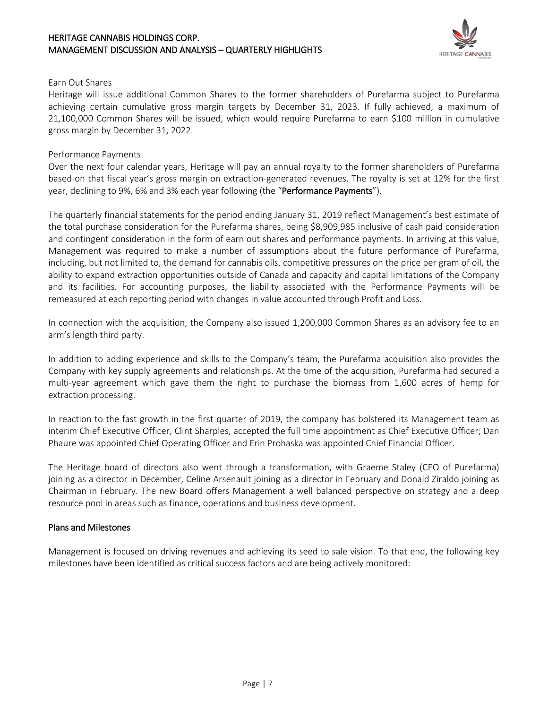

#### Earn Out Shares

Heritage will issue additional Common Shares to the former shareholders of Purefarma subject to Purefarma achieving certain cumulative gross margin targets by December 31, 2023. If fully achieved, a maximum of 21,100,000 Common Shares will be issued, which would require Purefarma to earn \$100 million in cumulative gross margin by December 31, 2022.

#### Performance Payments

Over the next four calendar years, Heritage will pay an annual royalty to the former shareholders of Purefarma based on that fiscal year's gross margin on extraction-generated revenues. The royalty is set at 12% for the first year, declining to 9%, 6% and 3% each year following (the "Performance Payments").

The quarterly financial statements for the period ending January 31, 2019 reflect Management's best estimate of the total purchase consideration for the Purefarma shares, being \$8,909,985 inclusive of cash paid consideration and contingent consideration in the form of earn out shares and performance payments. In arriving at this value, Management was required to make a number of assumptions about the future performance of Purefarma, including, but not limited to, the demand for cannabis oils, competitive pressures on the price per gram of oil, the ability to expand extraction opportunities outside of Canada and capacity and capital limitations of the Company and its facilities. For accounting purposes, the liability associated with the Performance Payments will be remeasured at each reporting period with changes in value accounted through Profit and Loss.

In connection with the acquisition, the Company also issued 1,200,000 Common Shares as an advisory fee to an arm's length third party.

In addition to adding experience and skills to the Company's team, the Purefarma acquisition also provides the Company with key supply agreements and relationships. At the time of the acquisition, Purefarma had secured a multi-year agreement which gave them the right to purchase the biomass from 1,600 acres of hemp for extraction processing.

In reaction to the fast growth in the first quarter of 2019, the company has bolstered its Management team as interim Chief Executive Officer, Clint Sharples, accepted the full time appointment as Chief Executive Officer; Dan Phaure was appointed Chief Operating Officer and Erin Prohaska was appointed Chief Financial Officer.

The Heritage board of directors also went through a transformation, with Graeme Staley (CEO of Purefarma) joining as a director in December, Celine Arsenault joining as a director in February and Donald Ziraldo joining as Chairman in February. The new Board offers Management a well balanced perspective on strategy and a deep resource pool in areas such as finance, operations and business development.

#### Plans and Milestones

Management is focused on driving revenues and achieving its seed to sale vision. To that end, the following key milestones have been identified as critical success factors and are being actively monitored: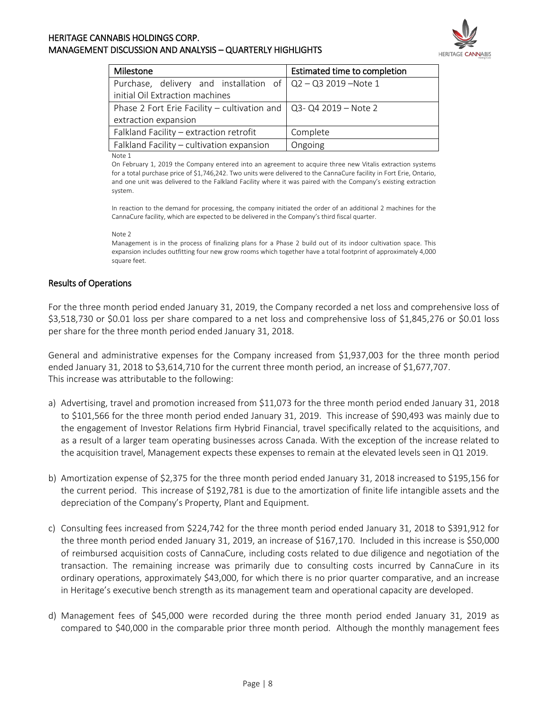

| Milestone                                                                | Estimated time to completion |  |
|--------------------------------------------------------------------------|------------------------------|--|
| Purchase, delivery and installation of $\sqrt{Q^2-Q^2}$ 2019 – Note 1    |                              |  |
| initial Oil Extraction machines                                          |                              |  |
| Phase 2 Fort Erie Facility – cultivation and $\vert$ Q3-Q4 2019 – Note 2 |                              |  |
| extraction expansion                                                     |                              |  |
| Falkland Facility - extraction retrofit                                  | Complete                     |  |
| Falkland Facility - cultivation expansion                                | Ongoing                      |  |

Note 1

On February 1, 2019 the Company entered into an agreement to acquire three new Vitalis extraction systems for a total purchase price of \$1,746,242. Two units were delivered to the CannaCure facility in Fort Erie, Ontario, and one unit was delivered to the Falkland Facility where it was paired with the Company's existing extraction system.

In reaction to the demand for processing, the company initiated the order of an additional 2 machines for the CannaCure facility, which are expected to be delivered in the Company's third fiscal quarter.

#### Note 2

Management is in the process of finalizing plans for a Phase 2 build out of its indoor cultivation space. This expansion includes outfitting four new grow rooms which together have a total footprint of approximately 4,000 square feet.

#### Results of Operations

For the three month period ended January 31, 2019, the Company recorded a net loss and comprehensive loss of \$3,518,730 or \$0.01 loss per share compared to a net loss and comprehensive loss of \$1,845,276 or \$0.01 loss per share for the three month period ended January 31, 2018.

General and administrative expenses for the Company increased from \$1,937,003 for the three month period ended January 31, 2018 to \$3,614,710 for the current three month period, an increase of \$1,677,707. This increase was attributable to the following:

- a) Advertising, travel and promotion increased from \$11,073 for the three month period ended January 31, 2018 to \$101,566 for the three month period ended January 31, 2019. This increase of \$90,493 was mainly due to the engagement of Investor Relations firm Hybrid Financial, travel specifically related to the acquisitions, and as a result of a larger team operating businesses across Canada. With the exception of the increase related to the acquisition travel, Management expects these expenses to remain at the elevated levels seen in Q1 2019.
- b) Amortization expense of \$2,375 for the three month period ended January 31, 2018 increased to \$195,156 for the current period. This increase of \$192,781 is due to the amortization of finite life intangible assets and the depreciation of the Company's Property, Plant and Equipment.
- c) Consulting fees increased from \$224,742 for the three month period ended January 31, 2018 to \$391,912 for the three month period ended January 31, 2019, an increase of \$167,170. Included in this increase is \$50,000 of reimbursed acquisition costs of CannaCure, including costs related to due diligence and negotiation of the transaction. The remaining increase was primarily due to consulting costs incurred by CannaCure in its ordinary operations, approximately \$43,000, for which there is no prior quarter comparative, and an increase in Heritage's executive bench strength as its management team and operational capacity are developed.
- d) Management fees of \$45,000 were recorded during the three month period ended January 31, 2019 as compared to \$40,000 in the comparable prior three month period. Although the monthly management fees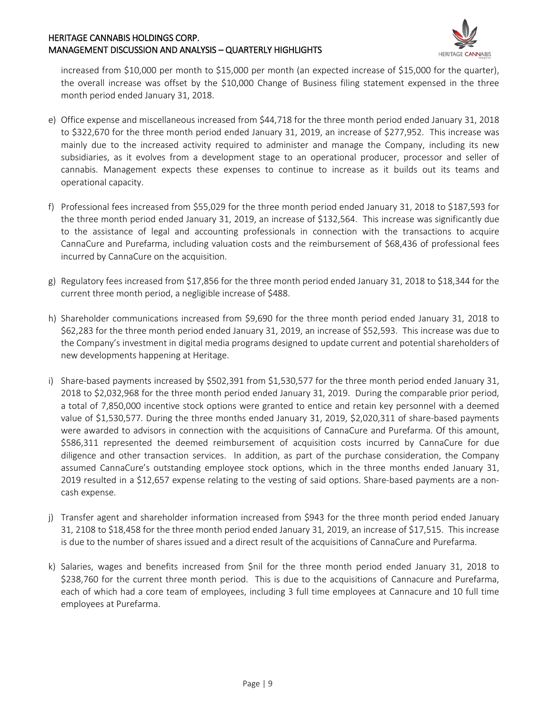

increased from \$10,000 per month to \$15,000 per month (an expected increase of \$15,000 for the quarter), the overall increase was offset by the \$10,000 Change of Business filing statement expensed in the three month period ended January 31, 2018.

- e) Office expense and miscellaneous increased from \$44,718 for the three month period ended January 31, 2018 to \$322,670 for the three month period ended January 31, 2019, an increase of \$277,952. This increase was mainly due to the increased activity required to administer and manage the Company, including its new subsidiaries, as it evolves from a development stage to an operational producer, processor and seller of cannabis. Management expects these expenses to continue to increase as it builds out its teams and operational capacity.
- f) Professional fees increased from \$55,029 for the three month period ended January 31, 2018 to \$187,593 for the three month period ended January 31, 2019, an increase of \$132,564. This increase was significantly due to the assistance of legal and accounting professionals in connection with the transactions to acquire CannaCure and Purefarma, including valuation costs and the reimbursement of \$68,436 of professional fees incurred by CannaCure on the acquisition.
- g) Regulatory fees increased from \$17,856 for the three month period ended January 31, 2018 to \$18,344 for the current three month period, a negligible increase of \$488.
- h) Shareholder communications increased from \$9,690 for the three month period ended January 31, 2018 to \$62,283 for the three month period ended January 31, 2019, an increase of \$52,593. This increase was due to the Company's investment in digital media programs designed to update current and potential shareholders of new developments happening at Heritage.
- i) Share-based payments increased by \$502,391 from \$1,530,577 for the three month period ended January 31, 2018 to \$2,032,968 for the three month period ended January 31, 2019. During the comparable prior period, a total of 7,850,000 incentive stock options were granted to entice and retain key personnel with a deemed value of \$1,530,577. During the three months ended January 31, 2019, \$2,020,311 of share-based payments were awarded to advisors in connection with the acquisitions of CannaCure and Purefarma. Of this amount, \$586,311 represented the deemed reimbursement of acquisition costs incurred by CannaCure for due diligence and other transaction services. In addition, as part of the purchase consideration, the Company assumed CannaCure's outstanding employee stock options, which in the three months ended January 31, 2019 resulted in a \$12,657 expense relating to the vesting of said options. Share-based payments are a noncash expense.
- j) Transfer agent and shareholder information increased from \$943 for the three month period ended January 31, 2108 to \$18,458 for the three month period ended January 31, 2019, an increase of \$17,515. This increase is due to the number of shares issued and a direct result of the acquisitions of CannaCure and Purefarma.
- k) Salaries, wages and benefits increased from \$nil for the three month period ended January 31, 2018 to \$238,760 for the current three month period. This is due to the acquisitions of Cannacure and Purefarma, each of which had a core team of employees, including 3 full time employees at Cannacure and 10 full time employees at Purefarma.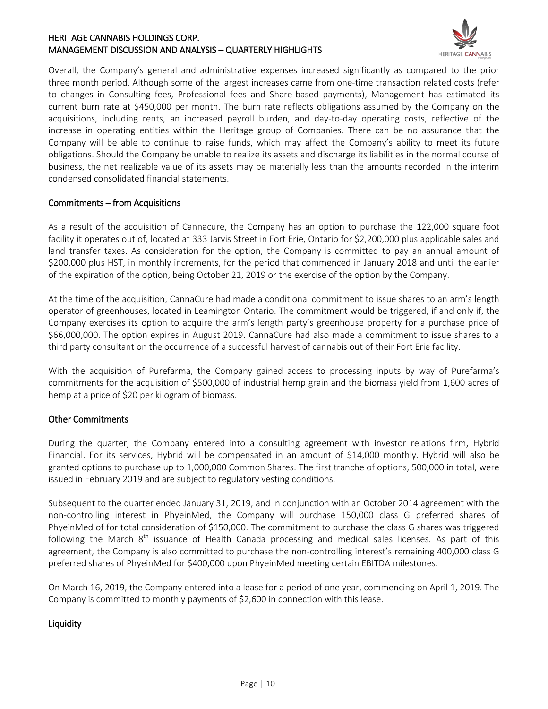

Overall, the Company's general and administrative expenses increased significantly as compared to the prior three month period. Although some of the largest increases came from one-time transaction related costs (refer to changes in Consulting fees, Professional fees and Share-based payments), Management has estimated its current burn rate at \$450,000 per month. The burn rate reflects obligations assumed by the Company on the acquisitions, including rents, an increased payroll burden, and day-to-day operating costs, reflective of the increase in operating entities within the Heritage group of Companies. There can be no assurance that the Company will be able to continue to raise funds, which may affect the Company's ability to meet its future obligations. Should the Company be unable to realize its assets and discharge its liabilities in the normal course of business, the net realizable value of its assets may be materially less than the amounts recorded in the interim condensed consolidated financial statements.

#### Commitments – from Acquisitions

As a result of the acquisition of Cannacure, the Company has an option to purchase the 122,000 square foot facility it operates out of, located at 333 Jarvis Street in Fort Erie, Ontario for \$2,200,000 plus applicable sales and land transfer taxes. As consideration for the option, the Company is committed to pay an annual amount of \$200,000 plus HST, in monthly increments, for the period that commenced in January 2018 and until the earlier of the expiration of the option, being October 21, 2019 or the exercise of the option by the Company.

At the time of the acquisition, CannaCure had made a conditional commitment to issue shares to an arm's length operator of greenhouses, located in Leamington Ontario. The commitment would be triggered, if and only if, the Company exercises its option to acquire the arm's length party's greenhouse property for a purchase price of \$66,000,000. The option expires in August 2019. CannaCure had also made a commitment to issue shares to a third party consultant on the occurrence of a successful harvest of cannabis out of their Fort Erie facility.

With the acquisition of Purefarma, the Company gained access to processing inputs by way of Purefarma's commitments for the acquisition of \$500,000 of industrial hemp grain and the biomass yield from 1,600 acres of hemp at a price of \$20 per kilogram of biomass.

### Other Commitments

During the quarter, the Company entered into a consulting agreement with investor relations firm, Hybrid Financial. For its services, Hybrid will be compensated in an amount of \$14,000 monthly. Hybrid will also be granted options to purchase up to 1,000,000 Common Shares. The first tranche of options, 500,000 in total, were issued in February 2019 and are subject to regulatory vesting conditions.

Subsequent to the quarter ended January 31, 2019, and in conjunction with an October 2014 agreement with the non-controlling interest in PhyeinMed, the Company will purchase 150,000 class G preferred shares of PhyeinMed of for total consideration of \$150,000. The commitment to purchase the class G shares was triggered following the March  $8<sup>th</sup>$  issuance of Health Canada processing and medical sales licenses. As part of this agreement, the Company is also committed to purchase the non-controlling interest's remaining 400,000 class G preferred shares of PhyeinMed for \$400,000 upon PhyeinMed meeting certain EBITDA milestones.

On March 16, 2019, the Company entered into a lease for a period of one year, commencing on April 1, 2019. The Company is committed to monthly payments of \$2,600 in connection with this lease.

#### **Liquidity**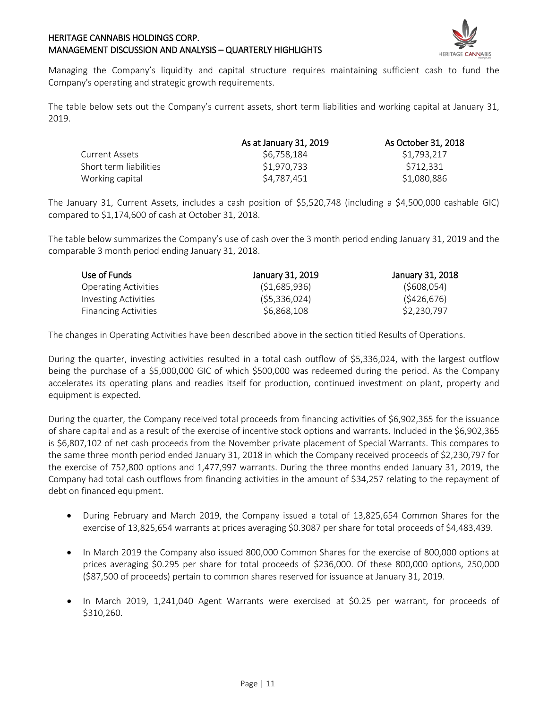

Managing the Company's liquidity and capital structure requires maintaining sufficient cash to fund the Company's operating and strategic growth requirements.

The table below sets out the Company's current assets, short term liabilities and working capital at January 31, 2019.

|                        | As at January 31, 2019 | As October 31, 2018 |  |
|------------------------|------------------------|---------------------|--|
| Current Assets         | S6.758.184             | \$1,793,217         |  |
| Short term liabilities | \$1,970,733            | \$712,331           |  |
| Working capital        | S4.787.451             | \$1,080,886         |  |

The January 31, Current Assets, includes a cash position of \$5,520,748 (including a \$4,500,000 cashable GIC) compared to \$1,174,600 of cash at October 31, 2018.

The table below summarizes the Company's use of cash over the 3 month period ending January 31, 2019 and the comparable 3 month period ending January 31, 2018.

| Use of Funds                | January 31, 2019 | January 31, 2018 |  |
|-----------------------------|------------------|------------------|--|
| <b>Operating Activities</b> | (51,685,936)     | (5608, 054)      |  |
| <b>Investing Activities</b> | (55,336,024)     | (5426, 676)      |  |
| <b>Financing Activities</b> | \$6,868,108      | \$2,230,797      |  |

The changes in Operating Activities have been described above in the section titled Results of Operations.

During the quarter, investing activities resulted in a total cash outflow of \$5,336,024, with the largest outflow being the purchase of a \$5,000,000 GIC of which \$500,000 was redeemed during the period. As the Company accelerates its operating plans and readies itself for production, continued investment on plant, property and equipment is expected.

During the quarter, the Company received total proceeds from financing activities of \$6,902,365 for the issuance of share capital and as a result of the exercise of incentive stock options and warrants. Included in the \$6,902,365 is \$6,807,102 of net cash proceeds from the November private placement of Special Warrants. This compares to the same three month period ended January 31, 2018 in which the Company received proceeds of \$2,230,797 for the exercise of 752,800 options and 1,477,997 warrants. During the three months ended January 31, 2019, the Company had total cash outflows from financing activities in the amount of \$34,257 relating to the repayment of debt on financed equipment.

- During February and March 2019, the Company issued a total of 13,825,654 Common Shares for the exercise of 13,825,654 warrants at prices averaging \$0.3087 per share for total proceeds of \$4,483,439.
- In March 2019 the Company also issued 800,000 Common Shares for the exercise of 800,000 options at prices averaging \$0.295 per share for total proceeds of \$236,000. Of these 800,000 options, 250,000 (\$87,500 of proceeds) pertain to common shares reserved for issuance at January 31, 2019.
- In March 2019, 1,241,040 Agent Warrants were exercised at \$0.25 per warrant, for proceeds of \$310,260.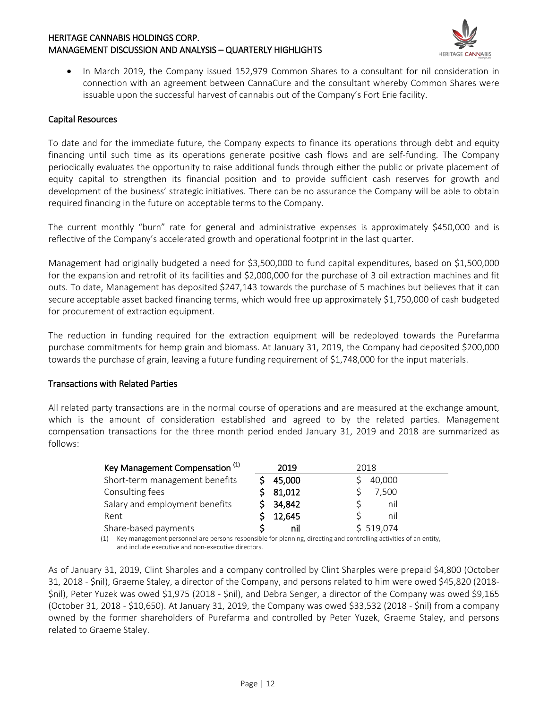

• In March 2019, the Company issued 152,979 Common Shares to a consultant for nil consideration in connection with an agreement between CannaCure and the consultant whereby Common Shares were issuable upon the successful harvest of cannabis out of the Company's Fort Erie facility.

#### Capital Resources

To date and for the immediate future, the Company expects to finance its operations through debt and equity financing until such time as its operations generate positive cash flows and are self-funding. The Company periodically evaluates the opportunity to raise additional funds through either the public or private placement of equity capital to strengthen its financial position and to provide sufficient cash reserves for growth and development of the business' strategic initiatives. There can be no assurance the Company will be able to obtain required financing in the future on acceptable terms to the Company.

The current monthly "burn" rate for general and administrative expenses is approximately \$450,000 and is reflective of the Company's accelerated growth and operational footprint in the last quarter.

Management had originally budgeted a need for \$3,500,000 to fund capital expenditures, based on \$1,500,000 for the expansion and retrofit of its facilities and \$2,000,000 for the purchase of 3 oil extraction machines and fit outs. To date, Management has deposited \$247,143 towards the purchase of 5 machines but believes that it can secure acceptable asset backed financing terms, which would free up approximately \$1,750,000 of cash budgeted for procurement of extraction equipment.

The reduction in funding required for the extraction equipment will be redeployed towards the Purefarma purchase commitments for hemp grain and biomass. At January 31, 2019, the Company had deposited \$200,000 towards the purchase of grain, leaving a future funding requirement of \$1,748,000 for the input materials.

#### Transactions with Related Parties

All related party transactions are in the normal course of operations and are measured at the exchange amount, which is the amount of consideration established and agreed to by the related parties. Management compensation transactions for the three month period ended January 31, 2019 and 2018 are summarized as follows:

| Key Management Compensation <sup>(1)</sup> | 2019   | 2018      |
|--------------------------------------------|--------|-----------|
| Short-term management benefits             | 45,000 | 40,000    |
| Consulting fees                            | 81,012 | 7,500     |
| Salary and employment benefits             | 34,842 | nil       |
| Rent                                       | 12,645 | nil       |
| Share-based payments                       | nil    | \$519,074 |

(1) Key management personnel are persons responsible for planning, directing and controlling activities of an entity, and include executive and non-executive directors.

As of January 31, 2019, Clint Sharples and a company controlled by Clint Sharples were prepaid \$4,800 (October 31, 2018 - \$nil), Graeme Staley, a director of the Company, and persons related to him were owed \$45,820 (2018- \$nil), Peter Yuzek was owed \$1,975 (2018 - \$nil), and Debra Senger, a director of the Company was owed \$9,165 (October 31, 2018 - \$10,650). At January 31, 2019, the Company was owed \$33,532 (2018 - \$nil) from a company owned by the former shareholders of Purefarma and controlled by Peter Yuzek, Graeme Staley, and persons related to Graeme Staley.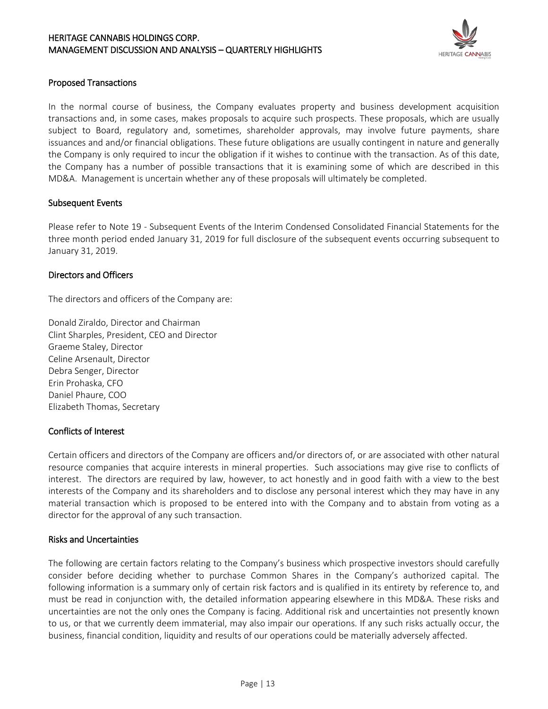

#### Proposed Transactions

In the normal course of business, the Company evaluates property and business development acquisition transactions and, in some cases, makes proposals to acquire such prospects. These proposals, which are usually subject to Board, regulatory and, sometimes, shareholder approvals, may involve future payments, share issuances and and/or financial obligations. These future obligations are usually contingent in nature and generally the Company is only required to incur the obligation if it wishes to continue with the transaction. As of this date, the Company has a number of possible transactions that it is examining some of which are described in this MD&A. Management is uncertain whether any of these proposals will ultimately be completed.

#### Subsequent Events

Please refer to Note 19 - Subsequent Events of the Interim Condensed Consolidated Financial Statements for the three month period ended January 31, 2019 for full disclosure of the subsequent events occurring subsequent to January 31, 2019.

#### Directors and Officers

The directors and officers of the Company are:

Donald Ziraldo, Director and Chairman Clint Sharples, President, CEO and Director Graeme Staley, Director Celine Arsenault, Director Debra Senger, Director Erin Prohaska, CFO Daniel Phaure, COO Elizabeth Thomas, Secretary

#### Conflicts of Interest

Certain officers and directors of the Company are officers and/or directors of, or are associated with other natural resource companies that acquire interests in mineral properties. Such associations may give rise to conflicts of interest. The directors are required by law, however, to act honestly and in good faith with a view to the best interests of the Company and its shareholders and to disclose any personal interest which they may have in any material transaction which is proposed to be entered into with the Company and to abstain from voting as a director for the approval of any such transaction.

#### Risks and Uncertainties

The following are certain factors relating to the Company's business which prospective investors should carefully consider before deciding whether to purchase Common Shares in the Company's authorized capital. The following information is a summary only of certain risk factors and is qualified in its entirety by reference to, and must be read in conjunction with, the detailed information appearing elsewhere in this MD&A. These risks and uncertainties are not the only ones the Company is facing. Additional risk and uncertainties not presently known to us, or that we currently deem immaterial, may also impair our operations. If any such risks actually occur, the business, financial condition, liquidity and results of our operations could be materially adversely affected.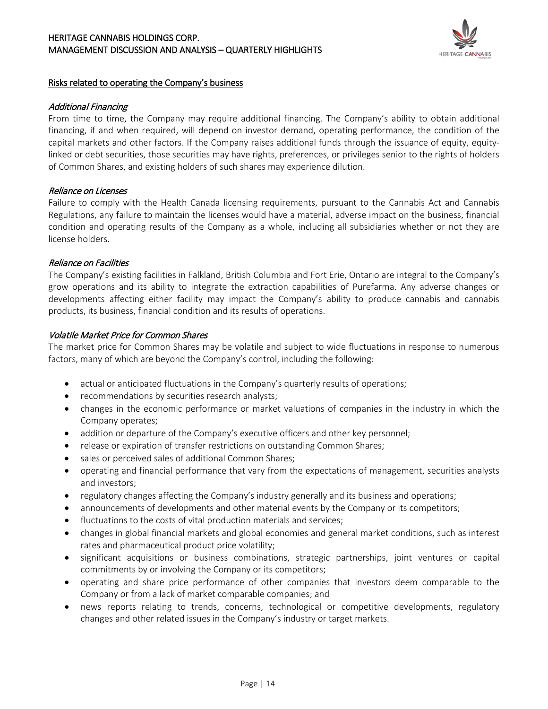

#### Risks related to operating the Company's business

#### Additional Financing

From time to time, the Company may require additional financing. The Company's ability to obtain additional financing, if and when required, will depend on investor demand, operating performance, the condition of the capital markets and other factors. If the Company raises additional funds through the issuance of equity, equitylinked or debt securities, those securities may have rights, preferences, or privileges senior to the rights of holders of Common Shares, and existing holders of such shares may experience dilution.

#### Reliance on Licenses

Failure to comply with the Health Canada licensing requirements, pursuant to the Cannabis Act and Cannabis Regulations, any failure to maintain the licenses would have a material, adverse impact on the business, financial condition and operating results of the Company as a whole, including all subsidiaries whether or not they are license holders.

#### Reliance on Facilities

The Company's existing facilities in Falkland, British Columbia and Fort Erie, Ontario are integral to the Company's grow operations and its ability to integrate the extraction capabilities of Purefarma. Any adverse changes or developments affecting either facility may impact the Company's ability to produce cannabis and cannabis products, its business, financial condition and its results of operations.

#### Volatile Market Price for Common Shares

The market price for Common Shares may be volatile and subject to wide fluctuations in response to numerous factors, many of which are beyond the Company's control, including the following:

- actual or anticipated fluctuations in the Company's quarterly results of operations;
- recommendations by securities research analysts;
- changes in the economic performance or market valuations of companies in the industry in which the Company operates;
- addition or departure of the Company's executive officers and other key personnel;
- release or expiration of transfer restrictions on outstanding Common Shares;
- sales or perceived sales of additional Common Shares;
- operating and financial performance that vary from the expectations of management, securities analysts and investors;
- regulatory changes affecting the Company's industry generally and its business and operations;
- announcements of developments and other material events by the Company or its competitors;
- fluctuations to the costs of vital production materials and services;
- changes in global financial markets and global economies and general market conditions, such as interest rates and pharmaceutical product price volatility;
- significant acquisitions or business combinations, strategic partnerships, joint ventures or capital commitments by or involving the Company or its competitors;
- operating and share price performance of other companies that investors deem comparable to the Company or from a lack of market comparable companies; and
- news reports relating to trends, concerns, technological or competitive developments, regulatory changes and other related issues in the Company's industry or target markets.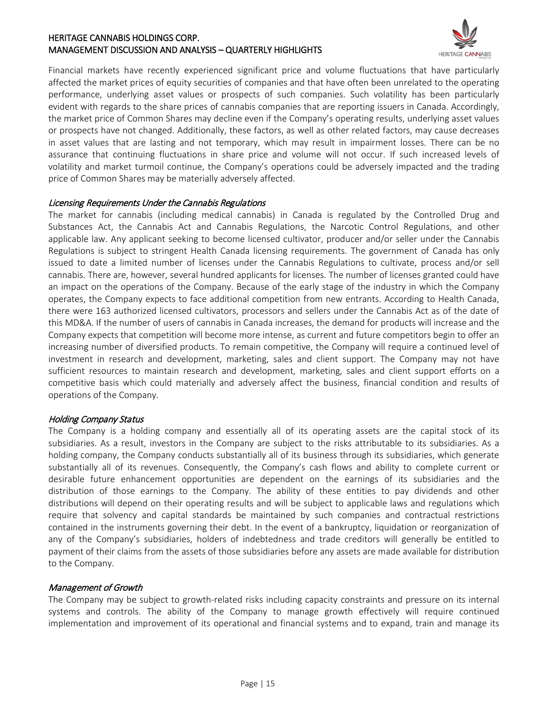

Financial markets have recently experienced significant price and volume fluctuations that have particularly affected the market prices of equity securities of companies and that have often been unrelated to the operating performance, underlying asset values or prospects of such companies. Such volatility has been particularly evident with regards to the share prices of cannabis companies that are reporting issuers in Canada. Accordingly, the market price of Common Shares may decline even if the Company's operating results, underlying asset values or prospects have not changed. Additionally, these factors, as well as other related factors, may cause decreases in asset values that are lasting and not temporary, which may result in impairment losses. There can be no assurance that continuing fluctuations in share price and volume will not occur. If such increased levels of volatility and market turmoil continue, the Company's operations could be adversely impacted and the trading price of Common Shares may be materially adversely affected.

#### Licensing Requirements Under the Cannabis Regulations

The market for cannabis (including medical cannabis) in Canada is regulated by the Controlled Drug and Substances Act, the Cannabis Act and Cannabis Regulations, the Narcotic Control Regulations, and other applicable law. Any applicant seeking to become licensed cultivator, producer and/or seller under the Cannabis Regulations is subject to stringent Health Canada licensing requirements. The government of Canada has only issued to date a limited number of licenses under the Cannabis Regulations to cultivate, process and/or sell cannabis. There are, however, several hundred applicants for licenses. The number of licenses granted could have an impact on the operations of the Company. Because of the early stage of the industry in which the Company operates, the Company expects to face additional competition from new entrants. According to Health Canada, there were 163 authorized licensed cultivators, processors and sellers under the Cannabis Act as of the date of this MD&A. If the number of users of cannabis in Canada increases, the demand for products will increase and the Company expects that competition will become more intense, as current and future competitors begin to offer an increasing number of diversified products. To remain competitive, the Company will require a continued level of investment in research and development, marketing, sales and client support. The Company may not have sufficient resources to maintain research and development, marketing, sales and client support efforts on a competitive basis which could materially and adversely affect the business, financial condition and results of operations of the Company.

#### Holding Company Status

The Company is a holding company and essentially all of its operating assets are the capital stock of its subsidiaries. As a result, investors in the Company are subject to the risks attributable to its subsidiaries. As a holding company, the Company conducts substantially all of its business through its subsidiaries, which generate substantially all of its revenues. Consequently, the Company's cash flows and ability to complete current or desirable future enhancement opportunities are dependent on the earnings of its subsidiaries and the distribution of those earnings to the Company. The ability of these entities to pay dividends and other distributions will depend on their operating results and will be subject to applicable laws and regulations which require that solvency and capital standards be maintained by such companies and contractual restrictions contained in the instruments governing their debt. In the event of a bankruptcy, liquidation or reorganization of any of the Company's subsidiaries, holders of indebtedness and trade creditors will generally be entitled to payment of their claims from the assets of those subsidiaries before any assets are made available for distribution to the Company.

#### Management of Growth

The Company may be subject to growth-related risks including capacity constraints and pressure on its internal systems and controls. The ability of the Company to manage growth effectively will require continued implementation and improvement of its operational and financial systems and to expand, train and manage its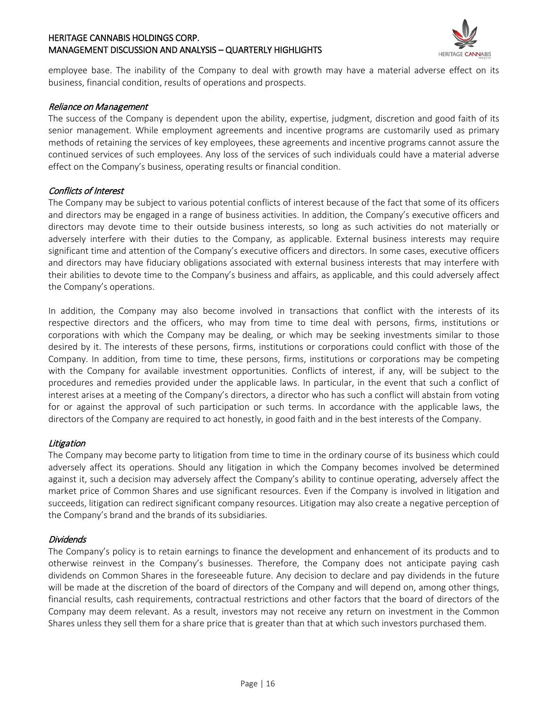

employee base. The inability of the Company to deal with growth may have a material adverse effect on its business, financial condition, results of operations and prospects.

#### Reliance on Management

The success of the Company is dependent upon the ability, expertise, judgment, discretion and good faith of its senior management. While employment agreements and incentive programs are customarily used as primary methods of retaining the services of key employees, these agreements and incentive programs cannot assure the continued services of such employees. Any loss of the services of such individuals could have a material adverse effect on the Company's business, operating results or financial condition.

#### Conflicts of Interest

The Company may be subject to various potential conflicts of interest because of the fact that some of its officers and directors may be engaged in a range of business activities. In addition, the Company's executive officers and directors may devote time to their outside business interests, so long as such activities do not materially or adversely interfere with their duties to the Company, as applicable. External business interests may require significant time and attention of the Company's executive officers and directors. In some cases, executive officers and directors may have fiduciary obligations associated with external business interests that may interfere with their abilities to devote time to the Company's business and affairs, as applicable, and this could adversely affect the Company's operations.

In addition, the Company may also become involved in transactions that conflict with the interests of its respective directors and the officers, who may from time to time deal with persons, firms, institutions or corporations with which the Company may be dealing, or which may be seeking investments similar to those desired by it. The interests of these persons, firms, institutions or corporations could conflict with those of the Company. In addition, from time to time, these persons, firms, institutions or corporations may be competing with the Company for available investment opportunities. Conflicts of interest, if any, will be subject to the procedures and remedies provided under the applicable laws. In particular, in the event that such a conflict of interest arises at a meeting of the Company's directors, a director who has such a conflict will abstain from voting for or against the approval of such participation or such terms. In accordance with the applicable laws, the directors of the Company are required to act honestly, in good faith and in the best interests of the Company.

#### Litigation

The Company may become party to litigation from time to time in the ordinary course of its business which could adversely affect its operations. Should any litigation in which the Company becomes involved be determined against it, such a decision may adversely affect the Company's ability to continue operating, adversely affect the market price of Common Shares and use significant resources. Even if the Company is involved in litigation and succeeds, litigation can redirect significant company resources. Litigation may also create a negative perception of the Company's brand and the brands of its subsidiaries.

#### Dividends

The Company's policy is to retain earnings to finance the development and enhancement of its products and to otherwise reinvest in the Company's businesses. Therefore, the Company does not anticipate paying cash dividends on Common Shares in the foreseeable future. Any decision to declare and pay dividends in the future will be made at the discretion of the board of directors of the Company and will depend on, among other things, financial results, cash requirements, contractual restrictions and other factors that the board of directors of the Company may deem relevant. As a result, investors may not receive any return on investment in the Common Shares unless they sell them for a share price that is greater than that at which such investors purchased them.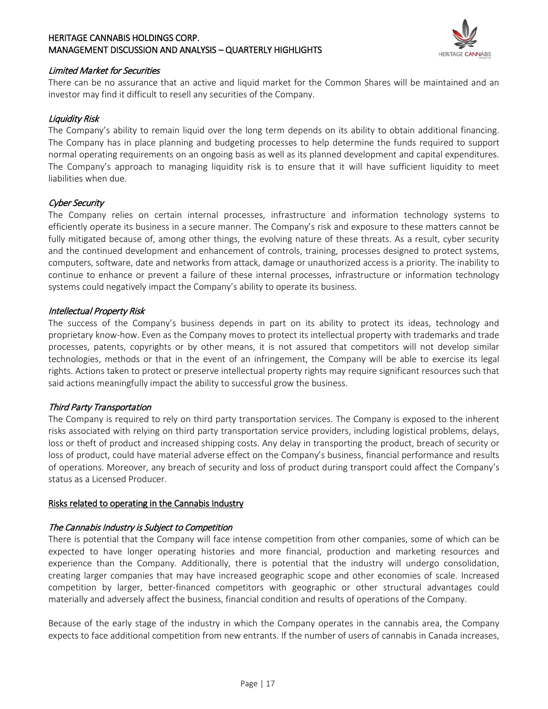

#### Limited Market for Securities

There can be no assurance that an active and liquid market for the Common Shares will be maintained and an investor may find it difficult to resell any securities of the Company.

#### Liquidity Risk

The Company's ability to remain liquid over the long term depends on its ability to obtain additional financing. The Company has in place planning and budgeting processes to help determine the funds required to support normal operating requirements on an ongoing basis as well as its planned development and capital expenditures. The Company's approach to managing liquidity risk is to ensure that it will have sufficient liquidity to meet liabilities when due.

#### Cyber Security

The Company relies on certain internal processes, infrastructure and information technology systems to efficiently operate its business in a secure manner. The Company's risk and exposure to these matters cannot be fully mitigated because of, among other things, the evolving nature of these threats. As a result, cyber security and the continued development and enhancement of controls, training, processes designed to protect systems, computers, software, date and networks from attack, damage or unauthorized access is a priority. The inability to continue to enhance or prevent a failure of these internal processes, infrastructure or information technology systems could negatively impact the Company's ability to operate its business.

#### Intellectual Property Risk

The success of the Company's business depends in part on its ability to protect its ideas, technology and proprietary know-how. Even as the Company moves to protect its intellectual property with trademarks and trade processes, patents, copyrights or by other means, it is not assured that competitors will not develop similar technologies, methods or that in the event of an infringement, the Company will be able to exercise its legal rights. Actions taken to protect or preserve intellectual property rights may require significant resources such that said actions meaningfully impact the ability to successful grow the business.

### Third Party Transportation

The Company is required to rely on third party transportation services. The Company is exposed to the inherent risks associated with relying on third party transportation service providers, including logistical problems, delays, loss or theft of product and increased shipping costs. Any delay in transporting the product, breach of security or loss of product, could have material adverse effect on the Company's business, financial performance and results of operations. Moreover, any breach of security and loss of product during transport could affect the Company's status as a Licensed Producer.

#### Risks related to operating in the Cannabis Industry

#### The Cannabis Industry is Subject to Competition

There is potential that the Company will face intense competition from other companies, some of which can be expected to have longer operating histories and more financial, production and marketing resources and experience than the Company. Additionally, there is potential that the industry will undergo consolidation, creating larger companies that may have increased geographic scope and other economies of scale. Increased competition by larger, better-financed competitors with geographic or other structural advantages could materially and adversely affect the business, financial condition and results of operations of the Company.

Because of the early stage of the industry in which the Company operates in the cannabis area, the Company expects to face additional competition from new entrants. If the number of users of cannabis in Canada increases,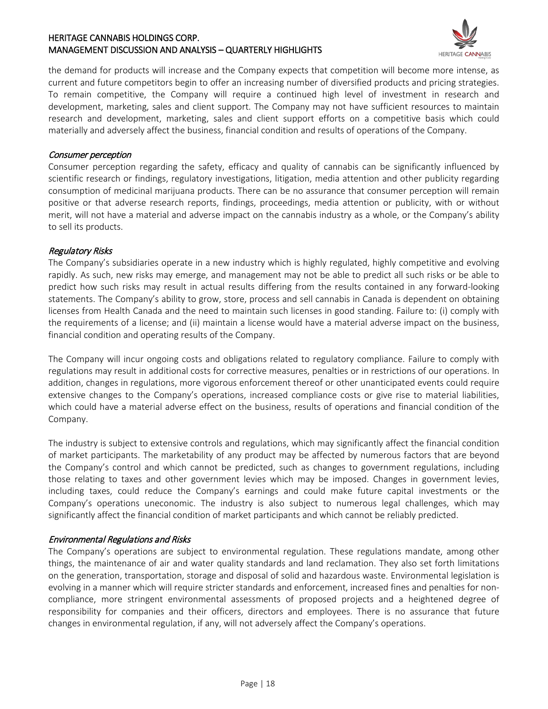

the demand for products will increase and the Company expects that competition will become more intense, as current and future competitors begin to offer an increasing number of diversified products and pricing strategies. To remain competitive, the Company will require a continued high level of investment in research and development, marketing, sales and client support. The Company may not have sufficient resources to maintain research and development, marketing, sales and client support efforts on a competitive basis which could materially and adversely affect the business, financial condition and results of operations of the Company.

#### Consumer perception

Consumer perception regarding the safety, efficacy and quality of cannabis can be significantly influenced by scientific research or findings, regulatory investigations, litigation, media attention and other publicity regarding consumption of medicinal marijuana products. There can be no assurance that consumer perception will remain positive or that adverse research reports, findings, proceedings, media attention or publicity, with or without merit, will not have a material and adverse impact on the cannabis industry as a whole, or the Company's ability to sell its products.

#### Regulatory Risks

The Company's subsidiaries operate in a new industry which is highly regulated, highly competitive and evolving rapidly. As such, new risks may emerge, and management may not be able to predict all such risks or be able to predict how such risks may result in actual results differing from the results contained in any forward-looking statements. The Company's ability to grow, store, process and sell cannabis in Canada is dependent on obtaining licenses from Health Canada and the need to maintain such licenses in good standing. Failure to: (i) comply with the requirements of a license; and (ii) maintain a license would have a material adverse impact on the business, financial condition and operating results of the Company.

The Company will incur ongoing costs and obligations related to regulatory compliance. Failure to comply with regulations may result in additional costs for corrective measures, penalties or in restrictions of our operations. In addition, changes in regulations, more vigorous enforcement thereof or other unanticipated events could require extensive changes to the Company's operations, increased compliance costs or give rise to material liabilities, which could have a material adverse effect on the business, results of operations and financial condition of the Company.

The industry is subject to extensive controls and regulations, which may significantly affect the financial condition of market participants. The marketability of any product may be affected by numerous factors that are beyond the Company's control and which cannot be predicted, such as changes to government regulations, including those relating to taxes and other government levies which may be imposed. Changes in government levies, including taxes, could reduce the Company's earnings and could make future capital investments or the Company's operations uneconomic. The industry is also subject to numerous legal challenges, which may significantly affect the financial condition of market participants and which cannot be reliably predicted.

### Environmental Regulations and Risks

The Company's operations are subject to environmental regulation. These regulations mandate, among other things, the maintenance of air and water quality standards and land reclamation. They also set forth limitations on the generation, transportation, storage and disposal of solid and hazardous waste. Environmental legislation is evolving in a manner which will require stricter standards and enforcement, increased fines and penalties for noncompliance, more stringent environmental assessments of proposed projects and a heightened degree of responsibility for companies and their officers, directors and employees. There is no assurance that future changes in environmental regulation, if any, will not adversely affect the Company's operations.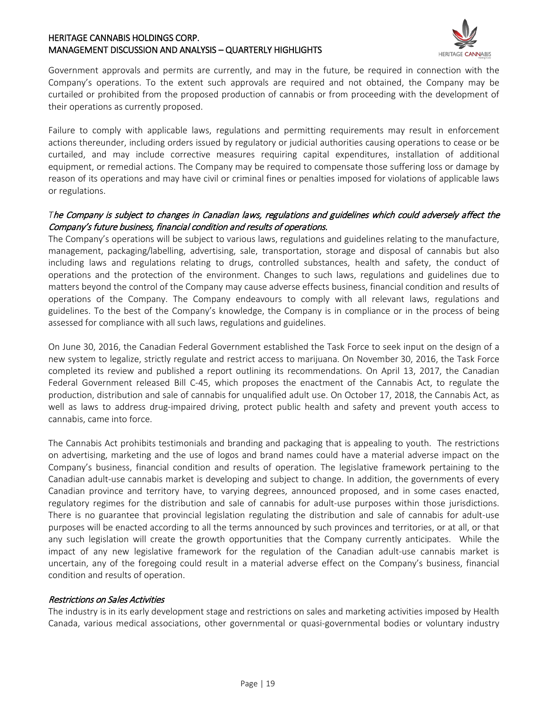

Government approvals and permits are currently, and may in the future, be required in connection with the Company's operations. To the extent such approvals are required and not obtained, the Company may be curtailed or prohibited from the proposed production of cannabis or from proceeding with the development of their operations as currently proposed.

Failure to comply with applicable laws, regulations and permitting requirements may result in enforcement actions thereunder, including orders issued by regulatory or judicial authorities causing operations to cease or be curtailed, and may include corrective measures requiring capital expenditures, installation of additional equipment, or remedial actions. The Company may be required to compensate those suffering loss or damage by reason of its operations and may have civil or criminal fines or penalties imposed for violations of applicable laws or regulations.

#### *T*he Company is subject to changes in Canadian laws, regulations and guidelines which could adversely affect the Company's future business, financial condition and results of operations.

The Company's operations will be subject to various laws, regulations and guidelines relating to the manufacture, management, packaging/labelling, advertising, sale, transportation, storage and disposal of cannabis but also including laws and regulations relating to drugs, controlled substances, health and safety, the conduct of operations and the protection of the environment. Changes to such laws, regulations and guidelines due to matters beyond the control of the Company may cause adverse effects business, financial condition and results of operations of the Company. The Company endeavours to comply with all relevant laws, regulations and guidelines. To the best of the Company's knowledge, the Company is in compliance or in the process of being assessed for compliance with all such laws, regulations and guidelines.

On June 30, 2016, the Canadian Federal Government established the Task Force to seek input on the design of a new system to legalize, strictly regulate and restrict access to marijuana. On November 30, 2016, the Task Force completed its review and published a report outlining its recommendations. On April 13, 2017, the Canadian Federal Government released Bill C-45, which proposes the enactment of the Cannabis Act, to regulate the production, distribution and sale of cannabis for unqualified adult use. On October 17, 2018, the Cannabis Act, as well as laws to address drug-impaired driving, protect public health and safety and prevent youth access to cannabis, came into force.

The Cannabis Act prohibits testimonials and branding and packaging that is appealing to youth. The restrictions on advertising, marketing and the use of logos and brand names could have a material adverse impact on the Company's business, financial condition and results of operation. The legislative framework pertaining to the Canadian adult-use cannabis market is developing and subject to change. In addition, the governments of every Canadian province and territory have, to varying degrees, announced proposed, and in some cases enacted, regulatory regimes for the distribution and sale of cannabis for adult-use purposes within those jurisdictions. There is no guarantee that provincial legislation regulating the distribution and sale of cannabis for adult-use purposes will be enacted according to all the terms announced by such provinces and territories, or at all, or that any such legislation will create the growth opportunities that the Company currently anticipates. While the impact of any new legislative framework for the regulation of the Canadian adult-use cannabis market is uncertain, any of the foregoing could result in a material adverse effect on the Company's business, financial condition and results of operation.

#### Restrictions on Sales Activities

The industry is in its early development stage and restrictions on sales and marketing activities imposed by Health Canada, various medical associations, other governmental or quasi-governmental bodies or voluntary industry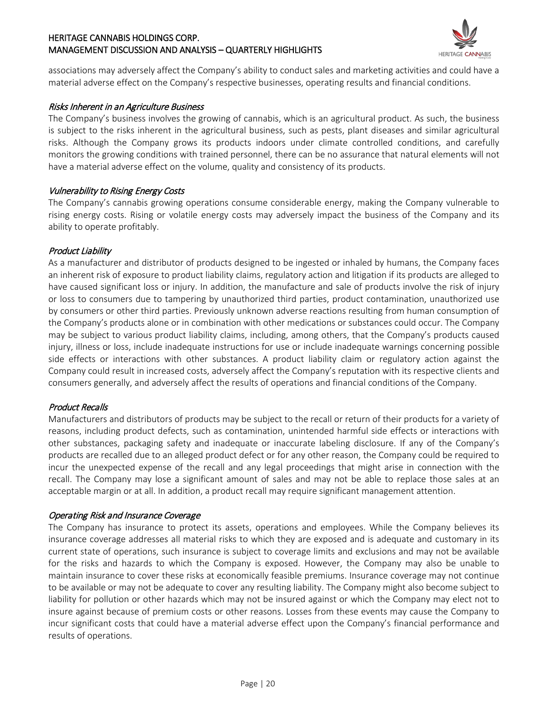

associations may adversely affect the Company's ability to conduct sales and marketing activities and could have a material adverse effect on the Company's respective businesses, operating results and financial conditions.

#### Risks Inherent in an Agriculture Business

The Company's business involves the growing of cannabis, which is an agricultural product. As such, the business is subject to the risks inherent in the agricultural business, such as pests, plant diseases and similar agricultural risks. Although the Company grows its products indoors under climate controlled conditions, and carefully monitors the growing conditions with trained personnel, there can be no assurance that natural elements will not have a material adverse effect on the volume, quality and consistency of its products.

#### Vulnerability to Rising Energy Costs

The Company's cannabis growing operations consume considerable energy, making the Company vulnerable to rising energy costs. Rising or volatile energy costs may adversely impact the business of the Company and its ability to operate profitably.

#### Product Liability

As a manufacturer and distributor of products designed to be ingested or inhaled by humans, the Company faces an inherent risk of exposure to product liability claims, regulatory action and litigation if its products are alleged to have caused significant loss or injury. In addition, the manufacture and sale of products involve the risk of injury or loss to consumers due to tampering by unauthorized third parties, product contamination, unauthorized use by consumers or other third parties. Previously unknown adverse reactions resulting from human consumption of the Company's products alone or in combination with other medications or substances could occur. The Company may be subject to various product liability claims, including, among others, that the Company's products caused injury, illness or loss, include inadequate instructions for use or include inadequate warnings concerning possible side effects or interactions with other substances. A product liability claim or regulatory action against the Company could result in increased costs, adversely affect the Company's reputation with its respective clients and consumers generally, and adversely affect the results of operations and financial conditions of the Company.

### Product Recalls

Manufacturers and distributors of products may be subject to the recall or return of their products for a variety of reasons, including product defects, such as contamination, unintended harmful side effects or interactions with other substances, packaging safety and inadequate or inaccurate labeling disclosure. If any of the Company's products are recalled due to an alleged product defect or for any other reason, the Company could be required to incur the unexpected expense of the recall and any legal proceedings that might arise in connection with the recall. The Company may lose a significant amount of sales and may not be able to replace those sales at an acceptable margin or at all. In addition, a product recall may require significant management attention.

#### Operating Risk and Insurance Coverage

The Company has insurance to protect its assets, operations and employees. While the Company believes its insurance coverage addresses all material risks to which they are exposed and is adequate and customary in its current state of operations, such insurance is subject to coverage limits and exclusions and may not be available for the risks and hazards to which the Company is exposed. However, the Company may also be unable to maintain insurance to cover these risks at economically feasible premiums. Insurance coverage may not continue to be available or may not be adequate to cover any resulting liability. The Company might also become subject to liability for pollution or other hazards which may not be insured against or which the Company may elect not to insure against because of premium costs or other reasons. Losses from these events may cause the Company to incur significant costs that could have a material adverse effect upon the Company's financial performance and results of operations.